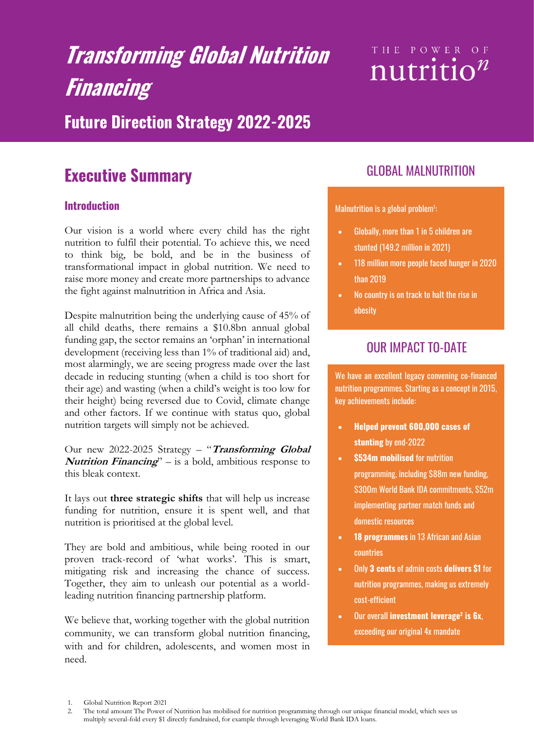# **Transforming Global Nutrition Financing Future Direction Strategy 2022-2025**

## **Executive Summary**

#### **Introduction**

Our vision is a world where every child has the right nutrition to fulfil their potential. To achieve this, we need to think big, be bold, and be in the business of transformational impact in global nutrition. We need to raise more money and create more partnerships to advance the fight against malnutrition in Africa and Asia.

Despite malnutrition being the underlying cause of 45% of all child deaths, there remains a \$10.8bn annual global funding gap, the sector remains an 'orphan' in international development (receiving less than 1% of traditional aid) and, most alarmingly, we are seeing progress made over the last decade in reducing stunting (when a child is too short for their age) and wasting (when a child's weight is too low for their height) being reversed due to Covid, climate change and other factors. If we continue with status quo, global nutrition targets will simply not be achieved.

Our new 2022-2025 Strategy – "**Transforming Global Nutrition Financing**" – is a bold, ambitious response to this bleak context.

It lays out **three strategic shifts** that will help us increase funding for nutrition, ensure it is spent well, and that nutrition is prioritised at the global level.

They are bold and ambitious, while being rooted in our proven track-record of 'what works'. This is smart, mitigating risk and increasing the chance of success. Together, they aim to unleash our potential as a worldleading nutrition financing partnership platform.

We believe that, working together with the global nutrition community, we can transform global nutrition financing, with and for children, adolescents, and women most in need.

# THE POWER nutritio

### GLOBAL MALNUTRITION

Malnutrition is a global problem<sup>1</sup>:

- Globally, more than 1 in 5 children are stunted (149.2 million in 2021)
- 118 million more people faced hunger in 2020 than 2019
- No country is on track to halt the rise in obesity

### OUR IMPACT TO-DATE

We have an excellent legacy convening co-financed nutrition programmes. Starting as a concept in 2015, key achievements include:

- **Helped prevent 600,000 cases of stunting** by end-2022
- **\$534m mobilised** for nutrition programming, including \$88m new funding, \$300m World Bank IDA commitments, \$52m implementing partner match funds and domestic resources
- **18 programmes** in 13 African and Asian countries
- Only **3 cents** of admin costs **delivers \$1** for nutrition programmes, making us extremely cost-efficient
- Our overall **investment leverage<sup>2</sup> is 6x**, exceeding our original 4x mandate

<sup>1.</sup> Global Nutrition Report 2021

<sup>2.</sup> The total amount The Power of Nutrition has mobilised for nutrition programming through our unique financial model, which sees us multiply several-fold every \$1 directly fundraised, for example through leveraging World Bank IDA loans.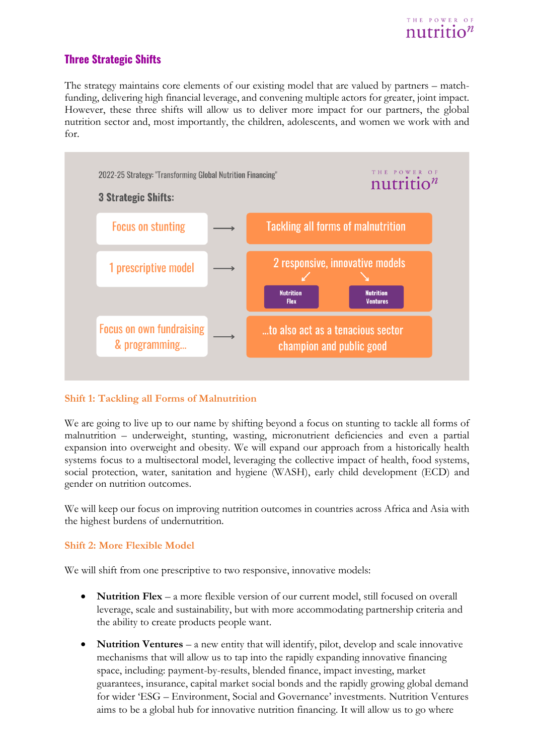#### **Three Strategic Shifts**

The strategy maintains core elements of our existing model that are valued by partners – matchfunding, delivering high financial leverage, and convening multiple actors for greater, joint impact. However, these three shifts will allow us to deliver more impact for our partners, the global nutrition sector and, most importantly, the children, adolescents, and women we work with and for.



#### **Shift 1: Tackling all Forms of Malnutrition**

We are going to live up to our name by shifting beyond a focus on stunting to tackle all forms of malnutrition – underweight, stunting, wasting, micronutrient deficiencies and even a partial expansion into overweight and obesity. We will expand our approach from a historically health systems focus to a multisectoral model, leveraging the collective impact of health, food systems, social protection, water, sanitation and hygiene (WASH), early child development (ECD) and gender on nutrition outcomes.

We will keep our focus on improving nutrition outcomes in countries across Africa and Asia with the highest burdens of undernutrition.

#### **Shift 2: More Flexible Model**

We will shift from one prescriptive to two responsive, innovative models:

- **Nutrition Flex** a more flexible version of our current model, still focused on overall leverage, scale and sustainability, but with more accommodating partnership criteria and the ability to create products people want.
- **Nutrition Ventures** a new entity that will identify, pilot, develop and scale innovative mechanisms that will allow us to tap into the rapidly expanding innovative financing space, including: payment-by-results, blended finance, impact investing, market guarantees, insurance, capital market social bonds and the rapidly growing global demand for wider 'ESG – Environment, Social and Governance' investments. Nutrition Ventures aims to be a global hub for innovative nutrition financing. It will allow us to go where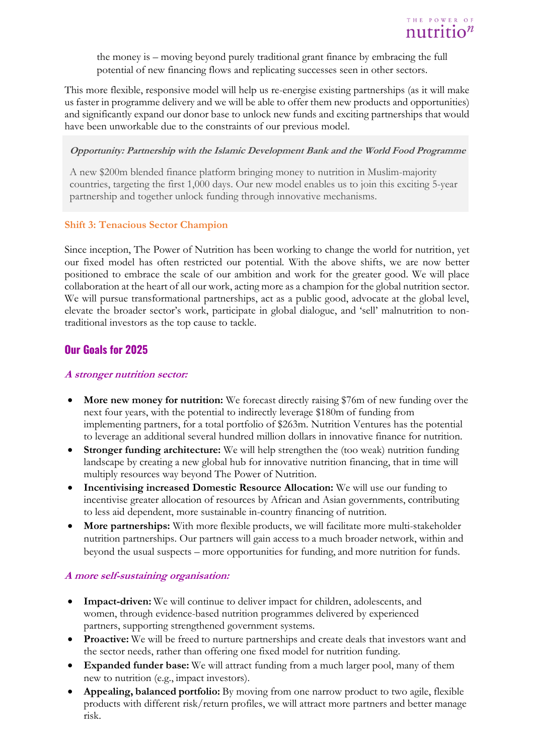the money is – moving beyond purely traditional grant finance by embracing the full potential of new financing flows and replicating successes seen in other sectors.

This more flexible, responsive model will help us re-energise existing partnerships (as it will make us faster in programme delivery and we will be able to offer them new products and opportunities) and significantly expand our donor base to unlock new funds and exciting partnerships that would have been unworkable due to the constraints of our previous model.

#### **Opportunity: Partnership with the Islamic Development Bank and the World Food Programme**

A new \$200m blended finance platform bringing money to nutrition in Muslim-majority countries, targeting the first 1,000 days. Our new model enables us to join this exciting 5-year partnership and together unlock funding through innovative mechanisms.

#### **Shift 3: Tenacious Sector Champion**

Since inception, The Power of Nutrition has been working to change the world for nutrition, yet our fixed model has often restricted our potential. With the above shifts, we are now better positioned to embrace the scale of our ambition and work for the greater good. We will place collaboration at the heart of all our work, acting more as a champion for the global nutrition sector. We will pursue transformational partnerships, act as a public good, advocate at the global level, elevate the broader sector's work, participate in global dialogue, and 'sell' malnutrition to nontraditional investors as the top cause to tackle.

#### **Our Goals for 2025**

#### **A stronger nutrition sector:**

- **More new money for nutrition:** We forecast directly raising \$76m of new funding over the next four years, with the potential to indirectly leverage \$180m of funding from implementing partners, for a total portfolio of \$263m. Nutrition Ventures has the potential to leverage an additional several hundred million dollars in innovative finance for nutrition.
- **Stronger funding architecture:** We will help strengthen the (too weak) nutrition funding landscape by creating a new global hub for innovative nutrition financing, that in time will multiply resources way beyond The Power of Nutrition.
- **Incentivising increased Domestic Resource Allocation:** We will use our funding to incentivise greater allocation of resources by African and Asian governments, contributing to less aid dependent, more sustainable in-country financing of nutrition.
- **More partnerships:** With more flexible products, we will facilitate more multi-stakeholder nutrition partnerships. Our partners will gain access to a much broader network, within and beyond the usual suspects – more opportunities for funding, and more nutrition for funds.

#### **A more self-sustaining organisation:**

- **Impact-driven:** We will continue to deliver impact for children, adolescents, and women, through evidence-based nutrition programmes delivered by experienced partners, supporting strengthened government systems.
- **Proactive:** We will be freed to nurture partnerships and create deals that investors want and the sector needs, rather than offering one fixed model for nutrition funding.
- **Expanded funder base:** We will attract funding from a much larger pool, many of them new to nutrition (e.g., impact investors).
- **Appealing, balanced portfolio:** By moving from one narrow product to two agile, flexible products with different risk/return profiles, we will attract more partners and better manage risk.